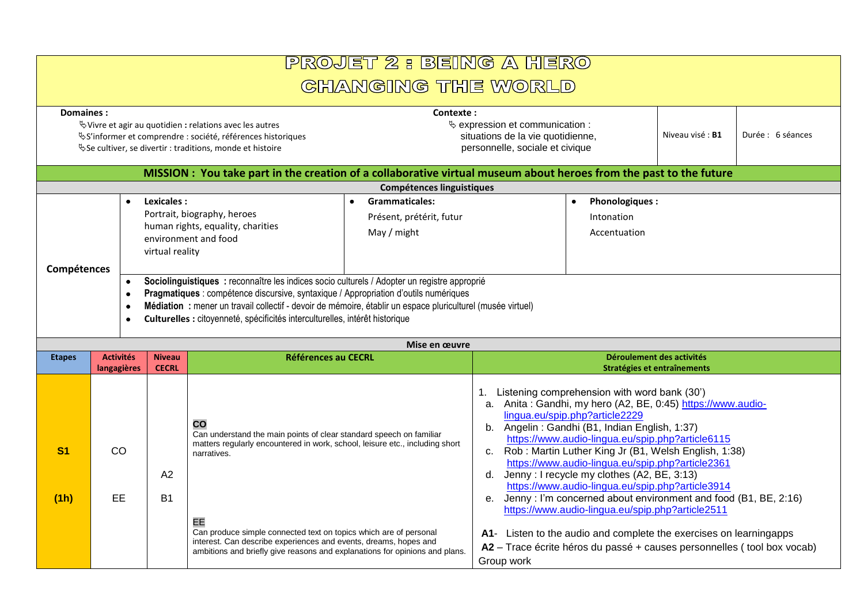## PROJET 2 : BEING A HERO **GHANGING THE WORLD**

| Domaines:<br>$\mathbb Q$ Vivre et agir au quotidien : relations avec les autres<br><sup>₹</sup> S'informer et comprendre : société, références historiques<br><sup>₹</sup> Se cultiver, se divertir : traditions, monde et histoire |  |                                                                                                                                                                                     |                               |                                                                                                                                                                                                                                                                                                                                                                                                                                                                                 | Contexte:<br>$\&$ expression et communication :<br>situations de la vie quotidienne,<br>personnelle, sociale et civique                                                                                                                                                                                                |                                                          | Niveau visé: B1                                          | Durée : 6 séances |  |
|-------------------------------------------------------------------------------------------------------------------------------------------------------------------------------------------------------------------------------------|--|-------------------------------------------------------------------------------------------------------------------------------------------------------------------------------------|-------------------------------|---------------------------------------------------------------------------------------------------------------------------------------------------------------------------------------------------------------------------------------------------------------------------------------------------------------------------------------------------------------------------------------------------------------------------------------------------------------------------------|------------------------------------------------------------------------------------------------------------------------------------------------------------------------------------------------------------------------------------------------------------------------------------------------------------------------|----------------------------------------------------------|----------------------------------------------------------|-------------------|--|
| MISSION: You take part in the creation of a collaborative virtual museum about heroes from the past to the future                                                                                                                   |  |                                                                                                                                                                                     |                               |                                                                                                                                                                                                                                                                                                                                                                                                                                                                                 |                                                                                                                                                                                                                                                                                                                        |                                                          |                                                          |                   |  |
|                                                                                                                                                                                                                                     |  |                                                                                                                                                                                     |                               |                                                                                                                                                                                                                                                                                                                                                                                                                                                                                 | <b>Compétences linguistiques</b>                                                                                                                                                                                                                                                                                       |                                                          |                                                          |                   |  |
| Compétences                                                                                                                                                                                                                         |  | - 0<br>$\bullet$<br>- 0<br>- 0<br>$\bullet$                                                                                                                                         | Lexicales:<br>virtual reality | Portrait, biography, heroes<br>human rights, equality, charities<br>environment and food<br>Sociolinguistiques : reconnaître les indices socio culturels / Adopter un registre approprié<br>Pragmatiques : compétence discursive, syntaxique / Appropriation d'outils numériques<br>Médiation : mener un travail collectif - devoir de mémoire, établir un espace pluriculturel (musée virtuel)<br>Culturelles : citoyenneté, spécificités interculturelles, intérêt historique | Grammaticales:<br>٠<br>Présent, prétérit, futur<br>May / might                                                                                                                                                                                                                                                         |                                                          | <b>Phonologiques:</b><br>٠<br>Intonation<br>Accentuation |                   |  |
|                                                                                                                                                                                                                                     |  |                                                                                                                                                                                     |                               |                                                                                                                                                                                                                                                                                                                                                                                                                                                                                 | Mise en œuvre                                                                                                                                                                                                                                                                                                          |                                                          |                                                          |                   |  |
| <b>Etapes</b>                                                                                                                                                                                                                       |  | <b>Activités</b><br><b>Niveau</b><br><b>CECRL</b><br>langagières                                                                                                                    |                               | <b>Références au CECRL</b>                                                                                                                                                                                                                                                                                                                                                                                                                                                      |                                                                                                                                                                                                                                                                                                                        | Déroulement des activités<br>Stratégies et entraînements |                                                          |                   |  |
| S <sub>1</sub><br>CO                                                                                                                                                                                                                |  | $\mathbf{CO}$<br>Can understand the main points of clear standard speech on familiar<br>matters regularly encountered in work, school, leisure etc., including short<br>narratives. |                               |                                                                                                                                                                                                                                                                                                                                                                                                                                                                                 | Listening comprehension with word bank (30')<br>Anita: Gandhi, my hero (A2, BE, 0:45) https://www.audio-<br>a.<br>lingua.eu/spip.php?article2229<br>Angelin: Gandhi (B1, Indian English, 1:37)<br>b.<br>https://www.audio-lingua.eu/spip.php?article6115<br>Rob: Martin Luther King Jr (B1, Welsh English, 1:38)<br>c. |                                                          |                                                          |                   |  |

**(1h)** EE **B1** EE Can produce simple connected text on topics which are of personal interest. Can describe experiences and events, dreams, hopes and ambitions and briefly give reasons and explanations for opinions and plans. <https://www.audio-lingua.eu/spip.php?article3914> e. Jenny : I'm concerned about environment and food (B1, BE, 2:16) <https://www.audio-lingua.eu/spip.php?article2511> **A1**- Listen to the audio and complete the exercises on learningapps **A2** – Trace écrite héros du passé + causes personnelles ( tool box vocab) Group work

[https://www.audio-lingua.eu/spip.php?article2361](https://www.audio-lingua.eu/spip.php?article2361&lang=fr)

d. Jenny : I recycle my clothes (A2, BE, 3:13)

A2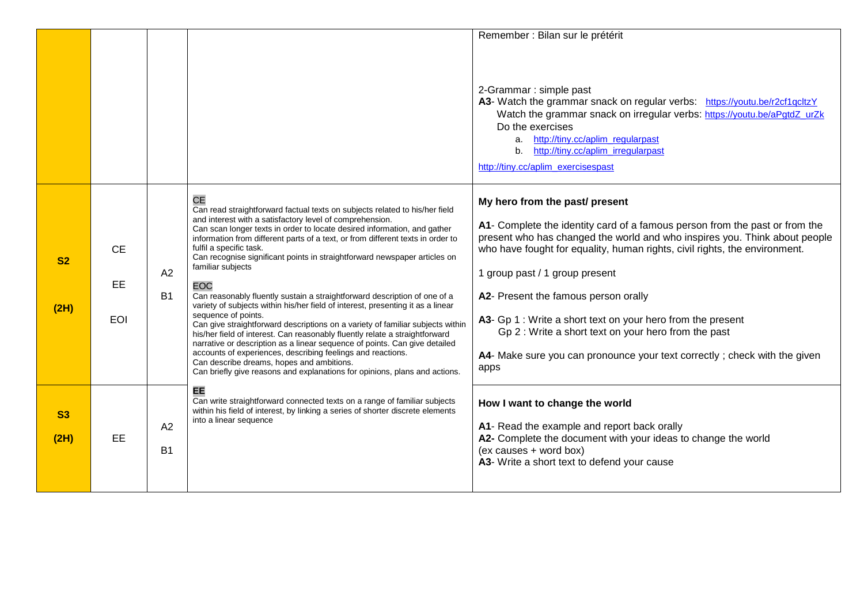|                   |                               |                 |                                                                                                                                                                                                                                                                                                                                                                                                                                                                                                                                                                                                                                                                                                                                                                                                                                                                                                                                                                                                                                                                                                | Remember : Bilan sur le prétérit<br>2-Grammar : simple past<br>A3- Watch the grammar snack on regular verbs: https://youtu.be/r2cf1qcltzY<br>Watch the grammar snack on irregular verbs: https://youtu.be/aPgtdZ_urZk<br>Do the exercises                                                                                                                                                                                                                                                                                                                       |
|-------------------|-------------------------------|-----------------|------------------------------------------------------------------------------------------------------------------------------------------------------------------------------------------------------------------------------------------------------------------------------------------------------------------------------------------------------------------------------------------------------------------------------------------------------------------------------------------------------------------------------------------------------------------------------------------------------------------------------------------------------------------------------------------------------------------------------------------------------------------------------------------------------------------------------------------------------------------------------------------------------------------------------------------------------------------------------------------------------------------------------------------------------------------------------------------------|-----------------------------------------------------------------------------------------------------------------------------------------------------------------------------------------------------------------------------------------------------------------------------------------------------------------------------------------------------------------------------------------------------------------------------------------------------------------------------------------------------------------------------------------------------------------|
|                   |                               |                 |                                                                                                                                                                                                                                                                                                                                                                                                                                                                                                                                                                                                                                                                                                                                                                                                                                                                                                                                                                                                                                                                                                | a. http://tiny.cc/aplim_regularpast<br>http://tiny.cc/aplim_irregularpast<br>b.<br>http://tiny.cc/aplim_exercisespast                                                                                                                                                                                                                                                                                                                                                                                                                                           |
| <b>S2</b><br>(2H) | <b>CE</b><br>EE<br><b>EOI</b> | A2<br><b>B1</b> | <b>CE</b><br>Can read straightforward factual texts on subjects related to his/her field<br>and interest with a satisfactory level of comprehension.<br>Can scan longer texts in order to locate desired information, and gather<br>information from different parts of a text, or from different texts in order to<br>fulfil a specific task.<br>Can recognise significant points in straightforward newspaper articles on<br>familiar subjects<br><b>EOC</b><br>Can reasonably fluently sustain a straightforward description of one of a<br>variety of subjects within his/her field of interest, presenting it as a linear<br>sequence of points.<br>Can give straightforward descriptions on a variety of familiar subjects within<br>his/her field of interest. Can reasonably fluently relate a straightforward<br>narrative or description as a linear sequence of points. Can give detailed<br>accounts of experiences, describing feelings and reactions.<br>Can describe dreams, hopes and ambitions.<br>Can briefly give reasons and explanations for opinions, plans and actions. | My hero from the past/ present<br>A1- Complete the identity card of a famous person from the past or from the<br>present who has changed the world and who inspires you. Think about people<br>who have fought for equality, human rights, civil rights, the environment.<br>1 group past / 1 group present<br>A2- Present the famous person orally<br>A3- Gp 1 : Write a short text on your hero from the present<br>Gp 2 : Write a short text on your hero from the past<br>A4- Make sure you can pronounce your text correctly; check with the given<br>apps |
| <b>S3</b><br>(2H) | EE                            | A2<br><b>B1</b> | EE<br>Can write straightforward connected texts on a range of familiar subjects<br>within his field of interest, by linking a series of shorter discrete elements<br>into a linear sequence                                                                                                                                                                                                                                                                                                                                                                                                                                                                                                                                                                                                                                                                                                                                                                                                                                                                                                    | How I want to change the world<br>A1- Read the example and report back orally<br>A2- Complete the document with your ideas to change the world<br>(ex causes + word box)<br>A3- Write a short text to defend your cause                                                                                                                                                                                                                                                                                                                                         |